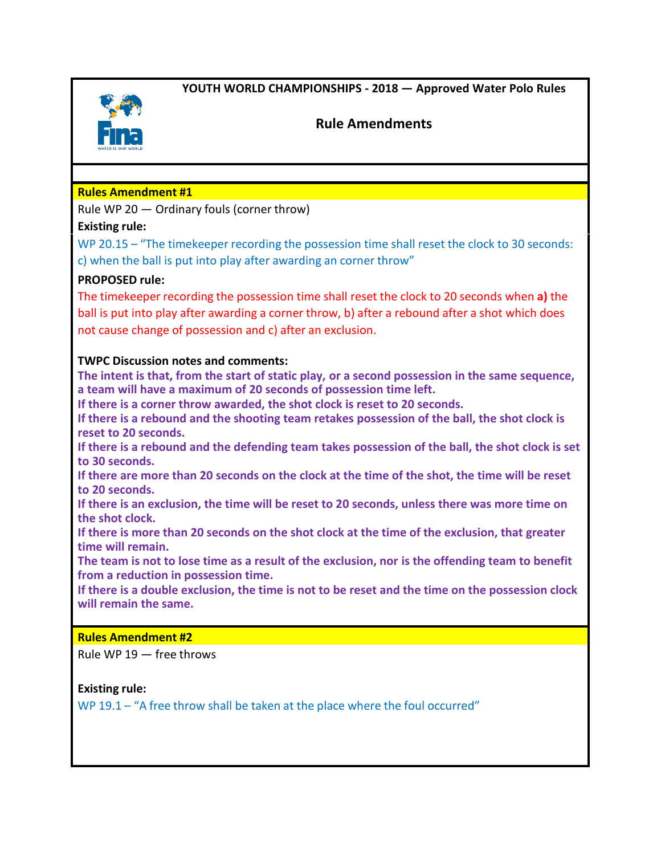**YOUTH WORLD CHAMPIONSHIPS - 2018 — Approved Water Polo Rules**



# **Rule Amendments**

# **Rules Amendment #1**

Rule WP 20 — Ordinary fouls (corner throw)

# **Existing rule:**

WP 20.15 – "The timekeeper recording the possession time shall reset the clock to 30 seconds: c) when the ball is put into play after awarding an corner throw"

# **PROPOSED rule:**

The timekeeper recording the possession time shall reset the clock to 20 seconds when **a)** the ball is put into play after awarding a corner throw, b) after a rebound after a shot which does not cause change of possession and c) after an exclusion.

# **TWPC Discussion notes and comments:**

**The intent is that, from the start of static play, or a second possession in the same sequence, a team will have a maximum of 20 seconds of possession time left.** 

**If there is a corner throw awarded, the shot clock is reset to 20 seconds.**

**If there is a rebound and the shooting team retakes possession of the ball, the shot clock is reset to 20 seconds.**

**If there is a rebound and the defending team takes possession of the ball, the shot clock is set to 30 seconds.**

**If there are more than 20 seconds on the clock at the time of the shot, the time will be reset to 20 seconds.**

**If there is an exclusion, the time will be reset to 20 seconds, unless there was more time on the shot clock.**

**If there is more than 20 seconds on the shot clock at the time of the exclusion, that greater time will remain.** 

**The team is not to lose time as a result of the exclusion, nor is the offending team to benefit from a reduction in possession time.**

**If there is a double exclusion, the time is not to be reset and the time on the possession clock will remain the same.**

# **Rules Amendment #2**

Rule WP 19 — free throws

# **Existing rule:**

WP 19.1 – "A free throw shall be taken at the place where the foul occurred"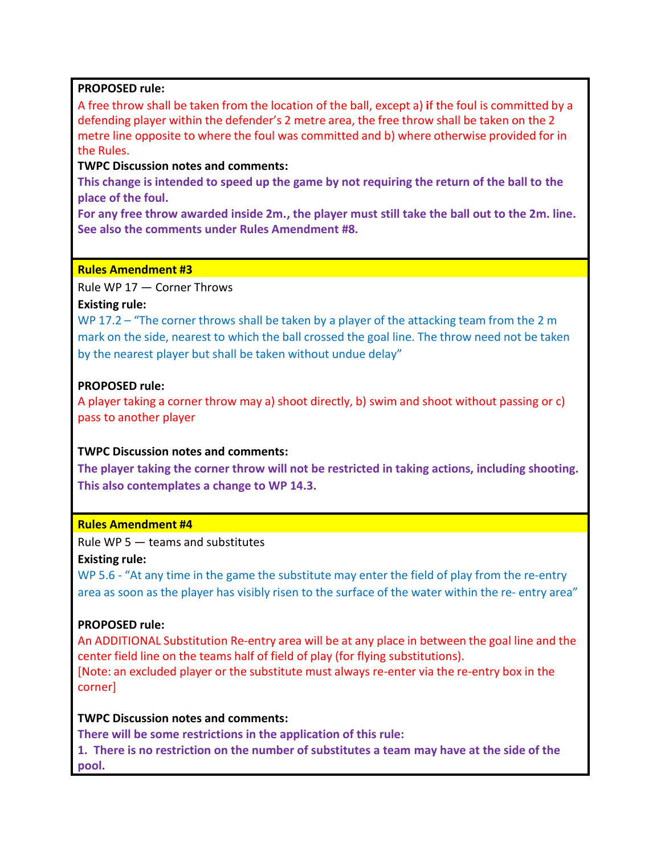## **PROPOSED rule:**

A free throw shall be taken from the location of the ball, except a) **i**f the foul is committed by a defending player within the defender's 2 metre area, the free throw shall be taken on the 2 metre line opposite to where the foul was committed and b) where otherwise provided for in the Rules.

## **TWPC Discussion notes and comments:**

**This change is intended to speed up the game by not requiring the return of the ball to the place of the foul.**

**For any free throw awarded inside 2m., the player must still take the ball out to the 2m. line. See also the comments under Rules Amendment #8.**

### **Rules Amendment #3**

Rule WP 17 — Corner Throws

## **Existing rule:**

WP 17.2 – "The corner throws shall be taken by a player of the attacking team from the 2 m mark on the side, nearest to which the ball crossed the goal line. The throw need not be taken by the nearest player but shall be taken without undue delay"

## **PROPOSED rule:**

A player taking a corner throw may a) shoot directly, b) swim and shoot without passing or c) pass to another player

# **TWPC Discussion notes and comments:**

**The player taking the corner throw will not be restricted in taking actions, including shooting. This also contemplates a change to WP 14.3.**

## **Rules Amendment #4**

Rule WP 5 — teams and substitutes

## **Existing rule:**

WP 5.6 - "At any time in the game the substitute may enter the field of play from the re-entry area as soon as the player has visibly risen to the surface of the water within the re- entry area"

## **PROPOSED rule:**

An ADDITIONAL Substitution Re-entry area will be at any place in between the goal line and the center field line on the teams half of field of play (for flying substitutions). [Note: an excluded player or the substitute must always re-enter via the re-entry box in the

corner]

## **TWPC Discussion notes and comments:**

**There will be some restrictions in the application of this rule:**

**1. There is no restriction on the number of substitutes a team may have at the side of the pool.**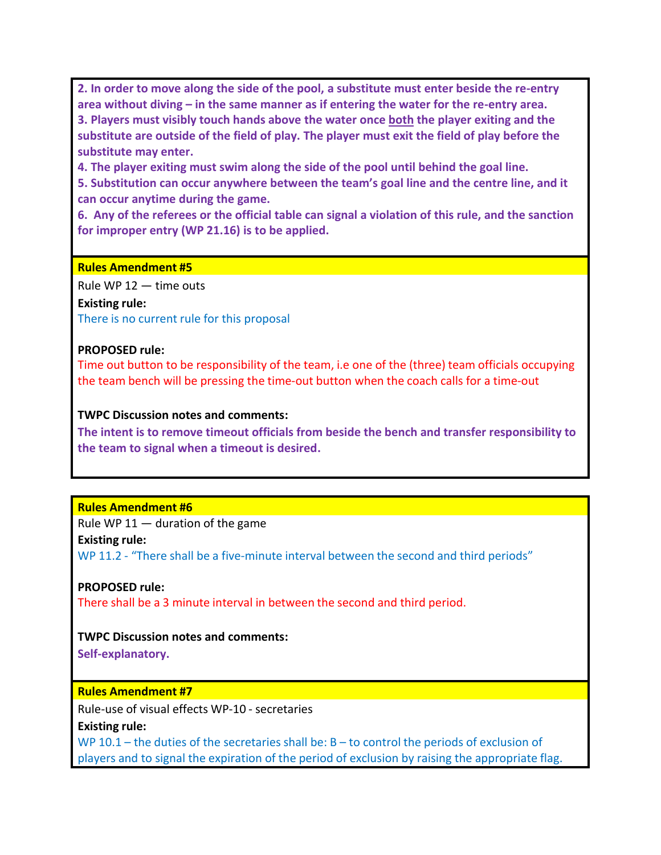**2. In order to move along the side of the pool, a substitute must enter beside the re-entry area without diving – in the same manner as if entering the water for the re-entry area. 3. Players must visibly touch hands above the water once both the player exiting and the substitute are outside of the field of play. The player must exit the field of play before the substitute may enter.**

**4. The player exiting must swim along the side of the pool until behind the goal line.**

**5. Substitution can occur anywhere between the team's goal line and the centre line, and it can occur anytime during the game.**

**6. Any of the referees or the official table can signal a violation of this rule, and the sanction for improper entry (WP 21.16) is to be applied.**

#### **Rules Amendment #5**

Rule WP 12 — time outs

**Existing rule:** There is no current rule for this proposal

#### **PROPOSED rule:**

Time out button to be responsibility of the team, i.e one of the (three) team officials occupying the team bench will be pressing the time-out button when the coach calls for a time-out

#### **TWPC Discussion notes and comments:**

**The intent is to remove timeout officials from beside the bench and transfer responsibility to the team to signal when a timeout is desired.**

## **Rules Amendment #6**

Rule WP  $11 -$  duration of the game

#### **Existing rule:**

WP 11.2 - "There shall be a five-minute interval between the second and third periods"

## **PROPOSED rule:**

There shall be a 3 minute interval in between the second and third period.

## **TWPC Discussion notes and comments:**

**Self-explanatory.**

## **Rules Amendment #7**

Rule-use of visual effects WP-10 - secretaries

**Existing rule:**

WP 10.1 – the duties of the secretaries shall be:  $B -$  to control the periods of exclusion of players and to signal the expiration of the period of exclusion by raising the appropriate flag.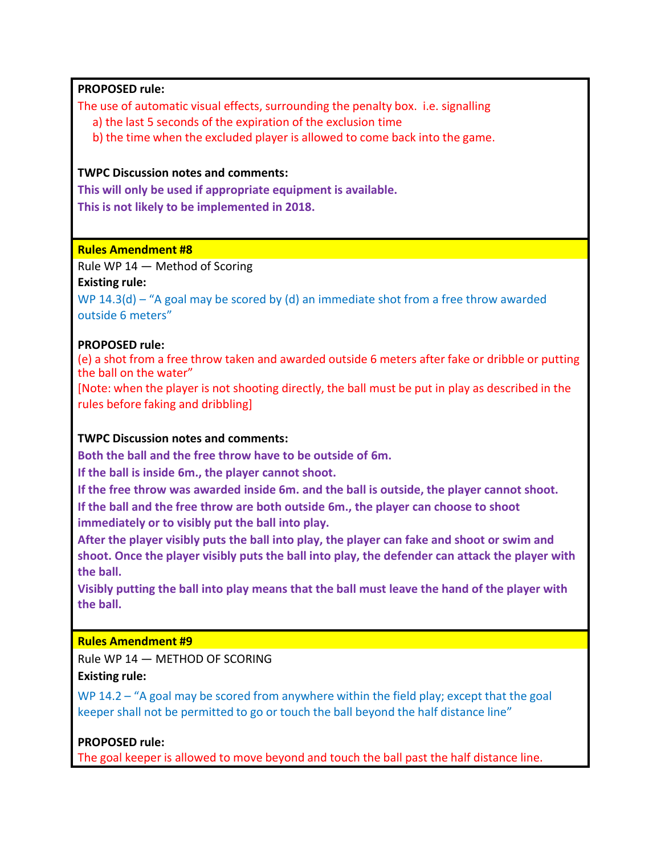## **PROPOSED rule:**

The use of automatic visual effects, surrounding the penalty box. i.e. signalling

a) the last 5 seconds of the expiration of the exclusion time

b) the time when the excluded player is allowed to come back into the game.

## **TWPC Discussion notes and comments:**

**This will only be used if appropriate equipment is available. This is not likely to be implemented in 2018.**

## **Rules Amendment #8**

Rule WP 14 — Method of Scoring

**Existing rule:** 

WP 14.3(d) – "A goal may be scored by (d) an immediate shot from a free throw awarded outside 6 meters"

# **PROPOSED rule:**

(e) a shot from a free throw taken and awarded outside 6 meters after fake or dribble or putting the ball on the water"

[Note: when the player is not shooting directly, the ball must be put in play as described in the rules before faking and dribbling]

# **TWPC Discussion notes and comments:**

**Both the ball and the free throw have to be outside of 6m.** 

**If the ball is inside 6m., the player cannot shoot.** 

**If the free throw was awarded inside 6m. and the ball is outside, the player cannot shoot. If the ball and the free throw are both outside 6m., the player can choose to shoot immediately or to visibly put the ball into play.** 

**After the player visibly puts the ball into play, the player can fake and shoot or swim and shoot. Once the player visibly puts the ball into play, the defender can attack the player with the ball.**

**Visibly putting the ball into play means that the ball must leave the hand of the player with the ball.**

# **Rules Amendment #9**

Rule WP 14 — METHOD OF SCORING

**Existing rule:**

WP 14.2 – "A goal may be scored from anywhere within the field play; except that the goal keeper shall not be permitted to go or touch the ball beyond the half distance line"

**PROPOSED rule:**

The goal keeper is allowed to move beyond and touch the ball past the half distance line.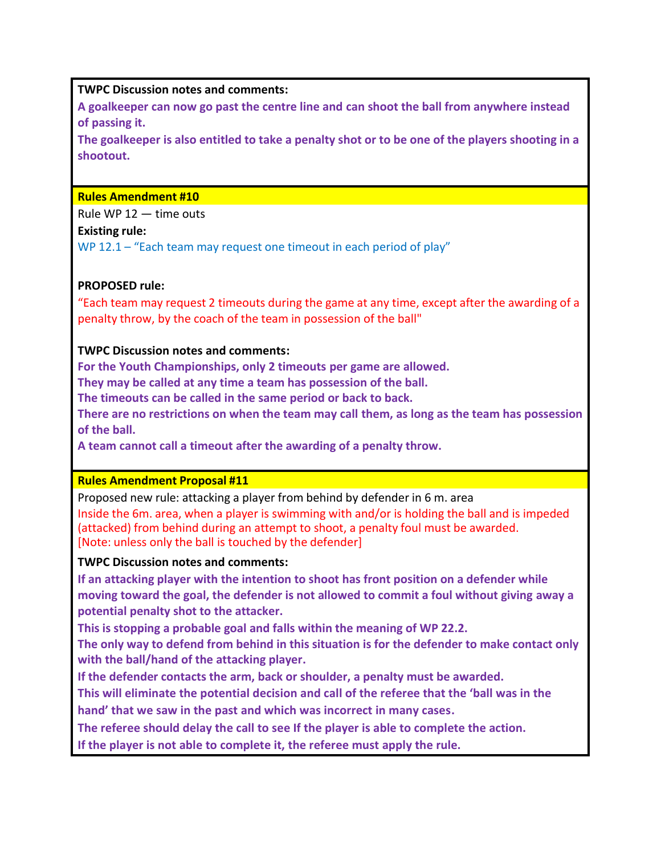## **TWPC Discussion notes and comments:**

**A goalkeeper can now go past the centre line and can shoot the ball from anywhere instead of passing it.**

**The goalkeeper is also entitled to take a penalty shot or to be one of the players shooting in a shootout.**

#### **Rules Amendment #10**

Rule WP 12 — time outs

## **Existing rule:**

WP 12.1 – "Each team may request one timeout in each period of play"

# **PROPOSED rule:**

"Each team may request 2 timeouts during the game at any time, except after the awarding of a penalty throw, by the coach of the team in possession of the ball"

## **TWPC Discussion notes and comments:**

**For the Youth Championships, only 2 timeouts per game are allowed.** 

**They may be called at any time a team has possession of the ball.** 

**The timeouts can be called in the same period or back to back.** 

**There are no restrictions on when the team may call them, as long as the team has possession of the ball.**

**A team cannot call a timeout after the awarding of a penalty throw.**

## **Rules Amendment Proposal #11**

Proposed new rule: attacking a player from behind by defender in 6 m. area Inside the 6m. area, when a player is swimming with and/or is holding the ball and is impeded (attacked) from behind during an attempt to shoot, a penalty foul must be awarded. [Note: unless only the ball is touched by the defender]

## **TWPC Discussion notes and comments:**

**If an attacking player with the intention to shoot has front position on a defender while moving toward the goal, the defender is not allowed to commit a foul without giving away a potential penalty shot to the attacker.** 

**This is stopping a probable goal and falls within the meaning of WP 22.2.**

**The only way to defend from behind in this situation is for the defender to make contact only with the ball/hand of the attacking player.** 

**If the defender contacts the arm, back or shoulder, a penalty must be awarded.**

**This will eliminate the potential decision and call of the referee that the 'ball was in the hand' that we saw in the past and which was incorrect in many cases.**

**The referee should delay the call to see If the player is able to complete the action.** 

**If the player is not able to complete it, the referee must apply the rule.**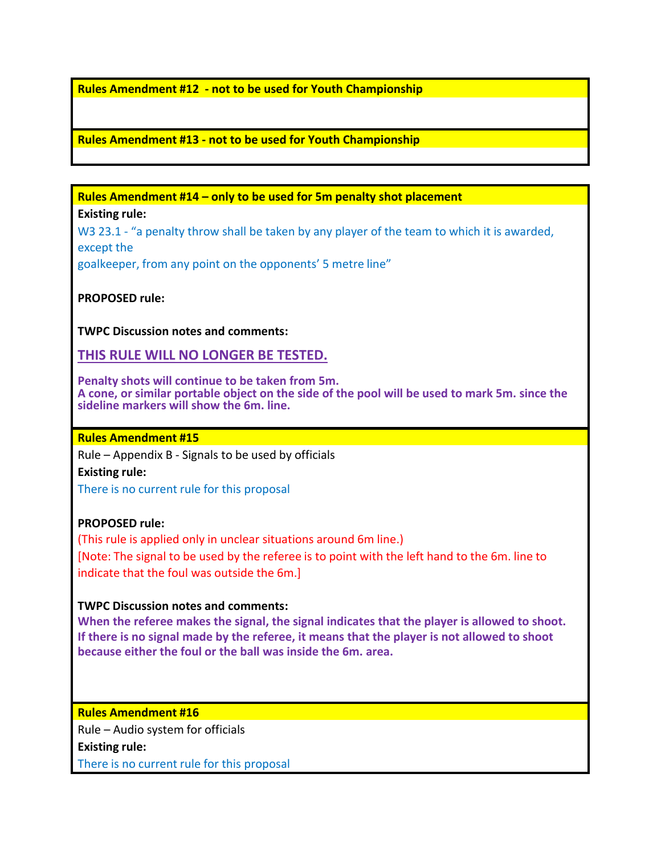## **Rules Amendment #12 - not to be used for Youth Championship**

### **Rules Amendment #13 - not to be used for Youth Championship**

**Rules Amendment #14 – only to be used for 5m penalty shot placement Existing rule:**

W<sub>3</sub> 23.1 - "a penalty throw shall be taken by any player of the team to which it is awarded, except the goalkeeper, from any point on the opponents' 5 metre line"

**PROPOSED rule:**

**TWPC Discussion notes and comments:**

**THIS RULE WILL NO LONGER BE TESTED.**

**Penalty shots will continue to be taken from 5m. A cone, or similar portable object on the side of the pool will be used to mark 5m. since the sideline markers will show the 6m. line.**

# **Rules Amendment #15**

Rule – Appendix B - Signals to be used by officials **Existing rule:** There is no current rule for this proposal

#### **PROPOSED rule:**

(This rule is applied only in unclear situations around 6m line.) [Note: The signal to be used by the referee is to point with the left hand to the 6m. line to indicate that the foul was outside the 6m.]

### **TWPC Discussion notes and comments:**

**When the referee makes the signal, the signal indicates that the player is allowed to shoot. If there is no signal made by the referee, it means that the player is not allowed to shoot because either the foul or the ball was inside the 6m. area.**

**Rules Amendment #16** Rule – Audio system for officials **Existing rule:** There is no current rule for this proposal